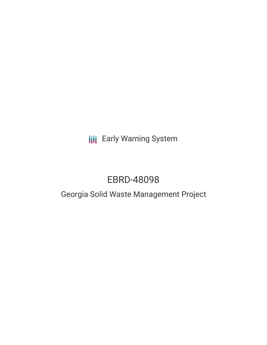**III** Early Warning System

# EBRD-48098

# Georgia Solid Waste Management Project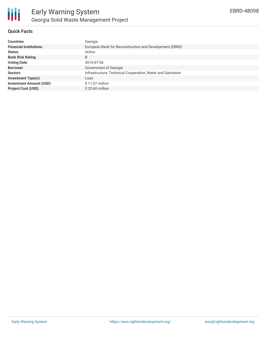

## **Quick Facts**

| <b>Countries</b>               | Georgia                                                     |
|--------------------------------|-------------------------------------------------------------|
| <b>Financial Institutions</b>  | European Bank for Reconstruction and Development (EBRD)     |
| <b>Status</b>                  | Active                                                      |
| <b>Bank Risk Rating</b>        | B                                                           |
| <b>Voting Date</b>             | 2016-07-06                                                  |
| <b>Borrower</b>                | Government of Georgia                                       |
| <b>Sectors</b>                 | Infrastructure, Technical Cooperation, Water and Sanitation |
| <b>Investment Type(s)</b>      | Loan                                                        |
| <b>Investment Amount (USD)</b> | $$11.07$ million                                            |
| <b>Project Cost (USD)</b>      | $$20.60$ million                                            |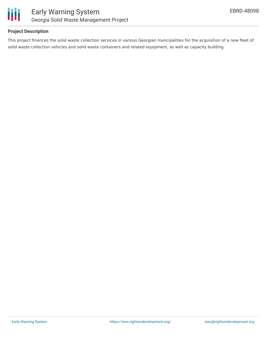

### **Project Description**

This project finances the solid waste collection services in various Georgian muncipalities for the acquisition of a new fleet of solid waste collection vehicles and solid waste containers and related equipment, as well as capacity building.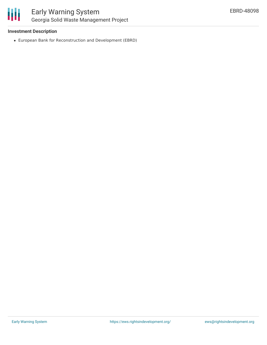

#### **Investment Description**

European Bank for Reconstruction and Development (EBRD)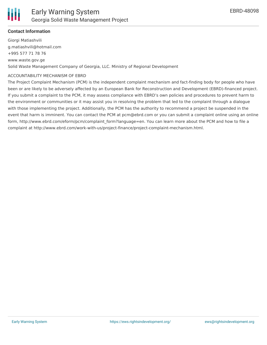

#### **Contact Information**

Giorgi Matiashvili g.matiashvili@hotmail.com +995 577 71 78 76 www.waste.gov.ge Solid Waste Management Company of Georgia, LLC. Ministry of Regional Development

#### ACCOUNTABILITY MECHANISM OF EBRD

The Project Complaint Mechanism (PCM) is the independent complaint mechanism and fact-finding body for people who have been or are likely to be adversely affected by an European Bank for Reconstruction and Development (EBRD)-financed project. If you submit a complaint to the PCM, it may assess compliance with EBRD's own policies and procedures to prevent harm to the environment or communities or it may assist you in resolving the problem that led to the complaint through a dialogue with those implementing the project. Additionally, the PCM has the authority to recommend a project be suspended in the event that harm is imminent. You can contact the PCM at pcm@ebrd.com or you can submit a complaint online using an online form, http://www.ebrd.com/eform/pcm/complaint\_form?language=en. You can learn more about the PCM and how to file a complaint at http://www.ebrd.com/work-with-us/project-finance/project-complaint-mechanism.html.